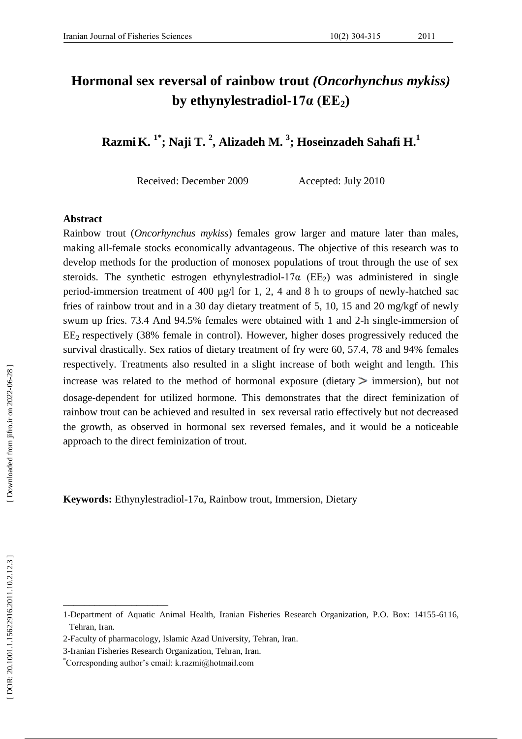# **Hormonal sex reversal of rainbow trout** *(Oncorhynchus mykiss)* **by ethynylestradiol -17α (EE 2 )**

**Razmi K . 1 \* ; Naji T . 2 , Alizadeh M . 3 ; Hoseinzadeh Sahafi H . 1**

Received: December 2009 Accepted: July 2010

#### **Abstract**

Rainbow trout (*Oncorhynchus mykiss*) females grow larger and mature later than males, making all -female stocks economically advantageous. The objective of this research was to develop methods for the production of monosex populations of trout through the use of sex steroids. The synthetic estrogen ethynylestradiol-17 $\alpha$  (EE<sub>2</sub>) was administered in single period-immersion treatment of 400 µg/l for 1, 2, 4 and 8 h to groups of newly-hatched sac fries of rainbow trout and in a 30 day dietary treatment of 5, 10, 15 and 20 mg/kgf of newly swum up fries. 73.4 And 94.5% females were obtained with 1 and 2-h single-immersion of  $EE<sub>2</sub>$  respectively (38% female in control). However, higher doses progressively reduced the survival drastically. Sex ratios of dietary treatment of fry were 60, 57.4, 78 and 94% females respectively. Treatments also resulted in a slight increase of both weight and length. This increase was related to the method of hormonal exposure (dietary  $>$  immersion), but not dosage -dependent for utilized hormone. This demonstrates that the direct feminization of rainbow trout can be achieved and resulted in sex reversal ratio effectively but not decreased the growth, as observed in hormonal sex reversed females, and it would be a noticeable approach to the direct feminization of trout.

**Keywords:**  Ethynylestradiol -17 α , Rainbow trout , Immersion , Dietary

\_\_\_\_\_\_\_\_\_\_\_\_\_\_\_\_\_\_\_\_

<sup>1-</sup>Department of Aquatic Animal Health, Iranian Fisheries Research Organization, P.O. Box: 14155 -6116, Tehran, Iran.

<sup>2</sup> -Faculty of pharmacology, Islamic Azad University, Tehran, Iran.

<sup>3</sup> -Iranian Fisheries Research Organization, Tehran, Iran.

<sup>\*</sup>Corresponding author's email: k.razmi@hotmail.com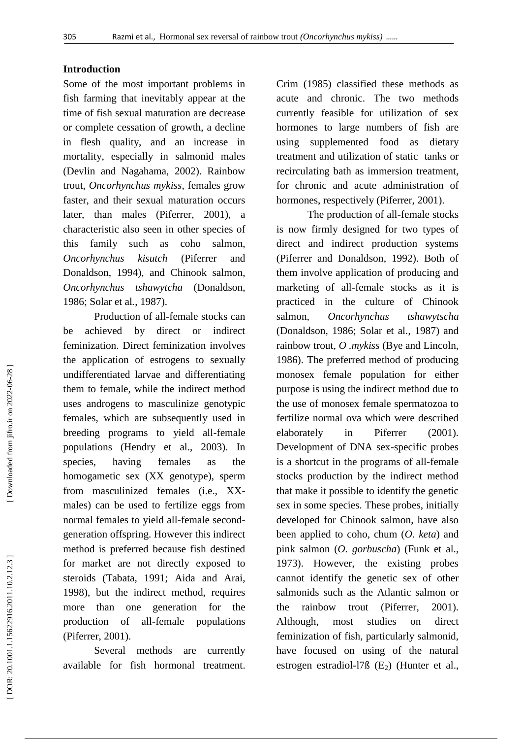## **Introduction**

Some of the most important problems in fish farming that inevitably appear at the time of fish sexual maturation are decrease or complete cessation of growth, a decline in flesh quality, and an increase in mortality, especially in salmonid males (Devlin and Nagahama, 2002). Rainbow trout, *Oncorhynchus mykiss*, females grow faster, and their sexual maturation occurs later, than males (Piferrer, 2001), a characteristic also seen in other species of this family such as coho salmon, *Oncorhynchus kisutch* (Piferrer and Donaldson, 1994), and Chinook salmon, *Oncorhynchus tshawytcha* (Donaldson, 1986; Solar et al *.*, 1987).

Production of all -female stocks can be achieved by direct or indirect feminization. Direct feminization involves the application of estrogens to sexually undifferentiated larvae and differentiating them to female, while the indirect method uses androgens to masculinize genotypic females, which are subsequently used in breeding programs to yield all -female populations (Hendry et al., 2003). In species, having females as the homogametic sex (XX genotype), sperm from masculinized females (i.e., XX males) can be used to fertilize eggs from normal females to yield all -female second generation offspring. However this indirect method is preferred because fish destined for market are not directly exposed to steroids (Tabata, 1991; Aida and Arai, 1998), but the indirect method, requires more than one generation for the production of all populations (Piferrer, 2001).

Several methods are currently available for fish hormonal treatment.

Crim (1985) classified these methods as acute and chronic. The two methods currently feasible for utilization of sex hormones to large numbers of fish are using supplemented food as dietary treatment and utilization of static tanks or recirculating bath as immersion treatment, for chronic and acute administration of hormones, respectively (Piferrer, 2001).

The production of all -female stocks is now firmly designed for two types of direct and indirect production systems (Piferrer and Donaldson, 1992). Both of them involve application of producing and marketing of all -female stocks as it is practiced in the culture of Chinook salmon, *Oncorhynchus tshawytscha*  (Donaldson, 1986; Solar et al *.*, 1987) and rainbow trout, *O .mykiss* (Bye and Lincoln, 1986). The preferred method of producing monosex female population for either purpose is using the indirect method due to the use of monosex female spermatozoa to fertilize normal ova which were described elaborately in Piferrer (2001). Development of DNA sex -specific probes is a shortcut in the programs of all -female stocks production by the indirect method that make it possible to identify the genetic sex in some species. These probes, initially developed for Chinook salmon, have also been applied to coho, chum (*O. keta*) and pink salmon (*O. gorbuscha*) (Funk et al., 1973). However, the existing probes cannot identify the genetic sex of other salmonid s such as the Atlantic salmon or the rainbow trout (Piferrer, 2001). Although, most studies on direct feminization of fish, particularly salmonid, have focused on using of the natural estrogen estradiol -l7ß (E <sup>2</sup>) (Hunter et al.,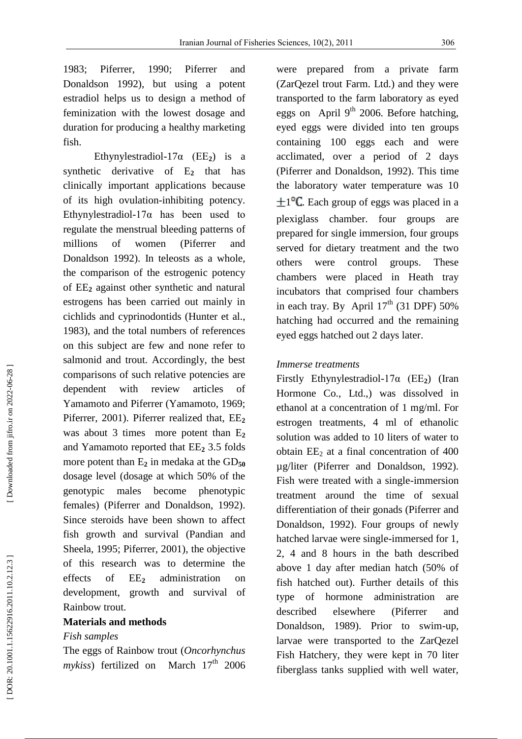1983; Piferrer, 1990; Piferrer and Donaldson 1992), but using a potent estradiol help s us to design a method of feminization with the lowest dosage and duration for producing a healthy marketing fish.

Ethynylestradiol- $17\alpha$  (EE<sub>2</sub>) is a synthetic derivative of E **<sup>2</sup>** that has clinically important application s because of its high ovulation -inhibiting potency. Ethynylestradiol -17α has been used to regulate the menstrual bleeding patterns of millions of women (Piferrer and Donaldson 1992). In teleosts as a whole, the comparison of the estrogenic potency of EE **<sup>2</sup>** against other synthetic and natural estrogens has been carried out mainly in cichlids and cyprinodontids (Hunter et al., 1983), and the total numbers of references on this subject are few and none refer to salmonid and trout. Accordingly, the best comparisons of such relative potencies are dependent with review articles of Yamamoto and Piferrer (Yamamoto, 1969; Piferrer, 2001). Piferrer realized that, EE **2** was about 3 times more potent than E **2** and Yamamoto reported that EE **<sup>2</sup>** 3.5 folds more potent than E<sub>2</sub> in medaka at the GD<sub>50</sub> dosage level (dosage at which 50% of the genotypic males become phenotypic females) (Piferrer and Donaldson, 1992). Since steroids have been shown to affect fish growth and survival (Pandian and Sheela, 1995; Piferrer, 2001), the objective of this research was to determine the effects of  $EE<sub>2</sub>$ **<sup>2</sup>** administration on development, growth and survival of Rainbow trout.

# **Materials and methods**

## *Fish samples*

The eggs of Rainbow trout (*Oncorhynchus*  mykiss) fertilized on March 17<sup>th</sup> 2006

were prepared from a private farm (ZarQezel trout Farm. Ltd.) and they were transported to the farm laboratory as eyed eggs on April  $9<sup>th</sup>$  2006. Before hatching, eyed eggs were divided into ten groups containing 100 eggs each and were acclimated, over a period of 2 days (Piferrer and Donaldson, 1992). This time the laboratory water temperature was 10  $\pm 1^{\circ}C$ . Each group of eggs was placed in a plexiglass chamber. four groups are prepared for single immersion, four groups served for dietary treatment and the two others were control groups. These chambers were placed in Heath tray incubators that comprised four chambers in each tray. By April  $17<sup>th</sup>$  (31 DPF) 50% hatching had occurred and the remaining eyed eggs hatched out 2 days later.

#### *Immerse treatments*

Firstly Ethynylestradiol -17α (EE **<sup>2</sup>**) (Iran Hormone Co., Ltd.,) was dissolved in ethanol at a concentration of 1 mg/ml. For estrogen treatments, 4 ml of ethanolic solution was added to 10 liters of water to obtain EE <sup>2</sup> at a final concentration of 400 µg/liter (Piferrer an d Donaldson, 1992). Fish were treated with a single -immersion treatment around the time of sexual differentiation of their gonads (Piferrer and Donaldson, 1992). Four groups of newly hatched larvae were single -immersed for 1, 2, 4 and 8 hours in the bath described above 1 day after median hatch (50% of fish hatched out). Further details of this type of hormone administration are described elsewhere (Piferrer and Donaldson, 1989). Prior to swim -up, larvae were transported to the ZarQezel Fish Hatchery, they were kept in 70 liter fiberglass tanks supplied with well water,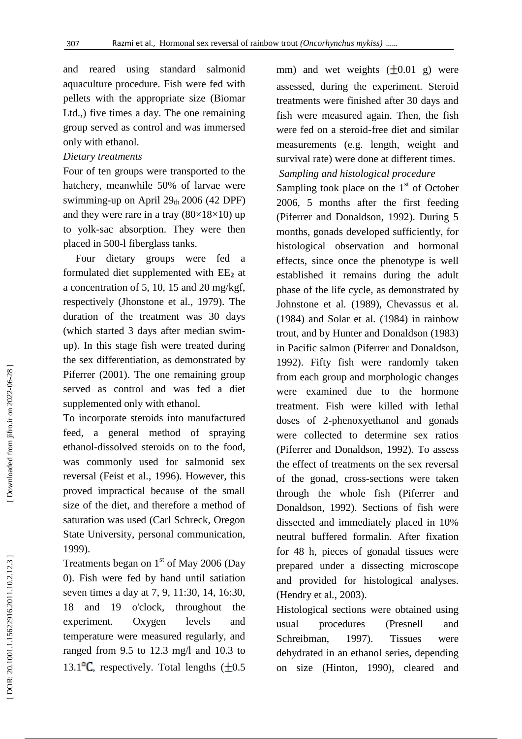and reared using standard salmonid aquaculture procedure. Fish were fed with pellets with the appropriate size (Biomar Ltd.,) five times a day. The one remaining group served as control and was immersed only with ethanol.

#### *Dietary treatments*

Four of ten groups were transported to the hatchery, meanwhile 50% of larvae were swimming-up on April 29th 2006 (42 DPF) and they were rare in a tray  $(80\times18\times10)$  up to yolk -sac absorption. They were then placed in 500 -l fiberglass tanks.

Four dietary groups were fed a formulated diet supplemented with EE **<sup>2</sup>** at a concentration of 5, 10, 15 and 20 mg/kgf, respectively (Jhonstone et al., 1979). The duration of the treatment was 30 days (which started 3 days after median swim up). In this stage fish were treated during the sex differentiation, as demonstrated by Piferrer (2001). The one remaining group served as control and was fed a diet supplemented only with ethanol.

To incorporate steroids into manufactured feed, a general method of spraying ethanol -dissolved steroids on to the food, was commonly used for salmonid sex reversal (Feist et al *.*, 1996) . However, this proved impractical because of the small size of the diet, and therefore a method of saturation was used (Carl Schreck, Oregon State University, personal communication, 1999).

Treatments began on  $1<sup>st</sup>$  of May 2006 (Day 0). Fish were fed by hand until satiation seven times a day at 7, 9, 11:30, 14, 16:30, 18 and 19 o'clock, throughout the experiment. Oxygen levels and temperature were measured regularly, and ranged from 9.5 to 12.3 mg/l and 10.3 to 13.1 $\textdegree$ C. respectively. Total lengths ( $\pm 0.5$ ) mm) and wet weights  $(\pm 0.01 \text{ g})$  were assessed, during the experiment. Steroid treatments were finished after 30 days and fish were measured again. Then, the fish were fed on a steroid -free diet and similar measurements (e.g. length, weight and survival rate) were done at different times.

# *Sampling and histological procedure*

Sampling took place on the  $1<sup>st</sup>$  of October 2006, 5 months after the first feeding (Piferrer and Donaldson, 1992). During 5 months, gonads developed sufficiently, for histological observation and hormonal effects, since once the phenotype is well established it remains during the adult phase of the life cycle, as demonstrated by Johnstone et al *.* (1989), Chevassus et al *.* (1984) and Solar et al *.* (1984) in rainbow trout, and by Hunter and Donaldson (1983) in Pacific salmon (Piferrer and Donaldson, 1992). Fifty fish were randomly taken from each group and morphologic changes were examined due to the hormone treatment. Fish were killed with lethal doses of 2 -phenoxyethanol and gonads were collected to determine sex ratios (Piferrer and Donaldson, 1992). To assess the effect of treatments on the sex reversal of the gonad, cross -sections were taken through the whole fish (Piferrer and Donaldson, 1992). Sections of fish were dissected and immediately placed in 10% neutral buffered formalin. After fixation for 48 h, pieces of gonadal tissues were prepared under a dissecting microscope and provided for histological analyses. (Hendry et al *.*, 2003).

Histological sections were obtained using usual procedures (Presnell and Schreibman, 1997). Tissues were dehydrated in an ethanol series, depending on size (Hinton, 1990) , cleared and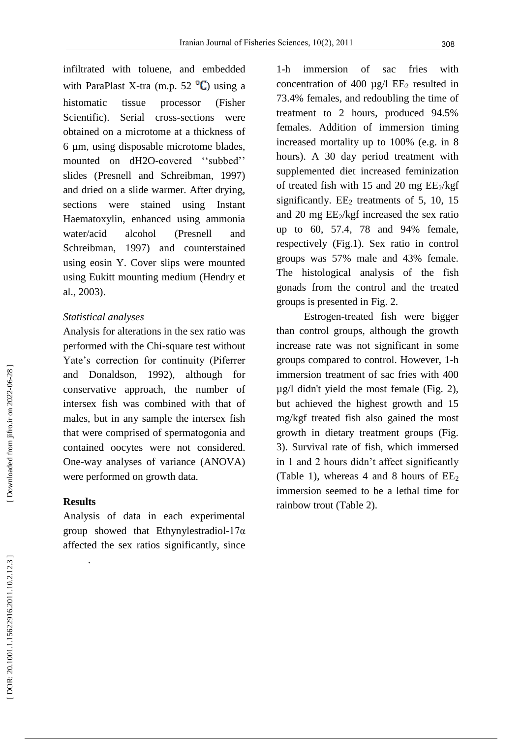infiltrated with toluene, and embedded with ParaPlast X-tra (m.p. 52 $\mathrm{C}$ ) using a histomatic tissue processor (Fisher Scientific). Serial cross -sections were obtained on a microtome at a thickness of 6 µm, using disposable microtome blades, mounted on dH2O-covered "subbed" slides (Presnell and Schreibman, 1997) and dried on a slide warmer. After drying, sections were stained using Instant Haematoxylin, enhanced using ammonia water/acid alcohol (Presnell and Schreibman, 1997) and counterstained using eosin Y. Cover slips were mounted using Eukitt mounting medium (Hendry et al., 2003) .

## *Statistical analyses*

Analysis for alterations in the sex ratio was performed with the Chi -square test without Yate's correction for continuity (Piferrer and Donaldson, 1992), although for conservative approach, the number of intersex fish was combined with that of males, but in any sample the intersex fish that were comprised of spermatogonia and contained oocytes were not considered. One -way analyses of variance (ANOVA) were performed on growth data.

## **Results**

.

Analysis of data in each experimental group showed that Ethynylestradiol -17α affected the sex ratios significantly, since

 $1-h$ immersion of sac fries with concentration of 400  $\mu$ g/l EE<sub>2</sub> resulted in 73.4% females, and redoubling the time of treatment to 2 hours, produced 94.5% females. Addition of immersion timing increased mortality up to 100% (e.g. in 8 hours). A 30 day period treatment with supplemented diet increased feminization of treated fish with 15 and 20 mg EE <sup>2</sup>/kgf significantly. EE <sup>2</sup> treatments of 5, 10, 15 and 20 mg EE <sup>2</sup>/kgf increased the sex ratio up to 60, 57.4, 78 and 94% female, respectively (Fig.1). Sex ratio in control groups was 57% male and 43% female. The histological analysis of the fish gonads from the control and the treated groups is presented in Fig. 2.

Estrogen -treated fish were bigger than control groups, although the growth increase rate was not significant in some groups compared to control. However, 1 -h immersion treatment of sac fries with 400 µg/l didn't yield the most female (Fig. 2), but achieved the highest growth and 15 mg/kgf treated fish also gained the most growth in dietary treatment groups (Fig. 3). Survival rate of fish, which immersed in 1 and 2 hours didn't affect significantly (Table 1), whereas 4 and 8 hours of  $EE_2$ immersion seemed to be a lethal time for rainbow trout (Table 2) .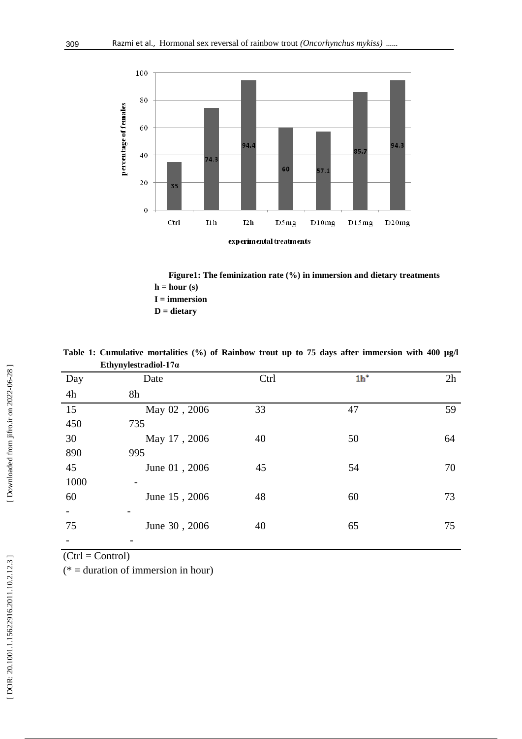

 **Figure 1 : The feminization rate (%) in immersion and dietary treatments**  $h = hour(s)$  **I = immersion D = dietary**

|                 | Ethynylestradiol-17 $\alpha$ |      |                 |    |
|-----------------|------------------------------|------|-----------------|----|
| Day             | Date                         | Ctrl | 1 <sup>th</sup> | 2h |
| 4h              | 8h                           |      |                 |    |
| $\overline{15}$ | May 02, 2006                 | 33   | 47              | 59 |
| 450             | 735                          |      |                 |    |
| 30              | May 17, 2006                 | 40   | 50              | 64 |
| 890             | 995                          |      |                 |    |
| 45              | June 01, 2006                | 45   | 54              | 70 |
| 1000            |                              |      |                 |    |
| 60              | June 15, 2006                | 48   | 60              | 73 |
|                 |                              |      |                 |    |
| 75              | June 30, 2006                | 40   | 65              | 75 |
|                 |                              |      |                 |    |

Table 1: Cumulative mortalities (%) of Rainbow trout up to 75 days after immersion with 400 µg/l **Ethynylestradiol -17α**

 $(Ctrl = Control)$ 

(\* = duration of immersion in hour)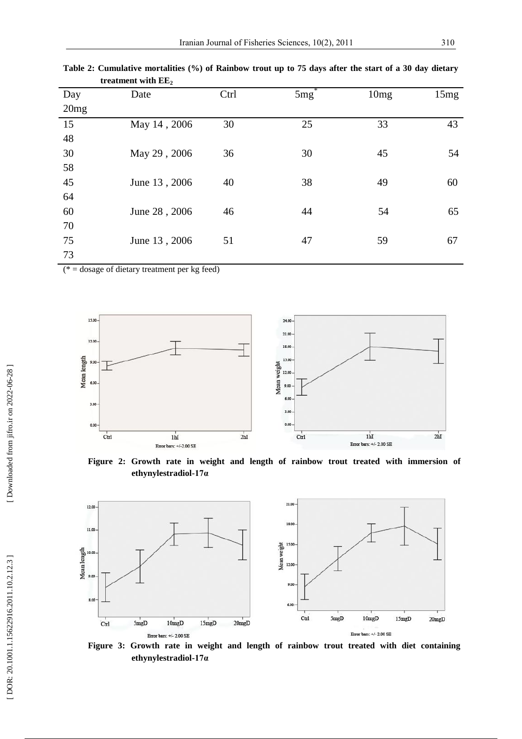| Day  | Date          | Ctrl | $5mg^2$ | 10mg | 15mg |
|------|---------------|------|---------|------|------|
| 20mg |               |      |         |      |      |
| 15   | May 14, 2006  | 30   | 25      | 33   | 43   |
| 48   |               |      |         |      |      |
| 30   | May 29, 2006  | 36   | 30      | 45   | 54   |
| 58   |               |      |         |      |      |
| 45   | June 13, 2006 | 40   | 38      | 49   | 60   |
| 64   |               |      |         |      |      |
| 60   | June 28, 2006 | 46   | 44      | 54   | 65   |
| 70   |               |      |         |      |      |
| 75   | June 13, 2006 | 51   | 47      | 59   | 67   |
| 73   |               |      |         |      |      |

**Table 2 : Cumulative mortalities (%) of Rainbow trout up to 75 days after the start of a 30 day dietary treatment with EE 2**

( $* =$  dosage of dietary treatment per kg feed)



**Figure 2 : Growth rate in weight and length of rainbow trout treated with immersion of ethynylestradiol -17α**



**Figure 3: Growth rate in weight and length of rainbow trout treated with diet containing ethynylestradiol -17α**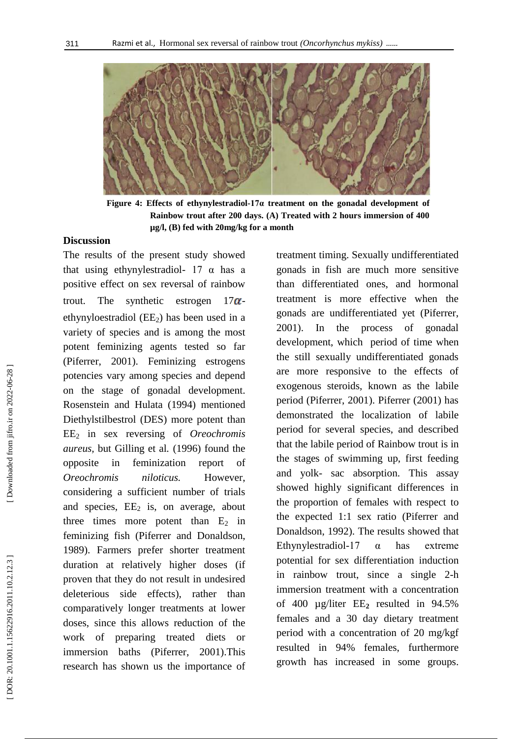

**Figure 4 : Effects of ethynylestradiol -17α treatment on the gonadal development of Rainbow trout after 200 days. (A) Treated with 2 hours immersion of 400 µg/l, (B) fed with 20mg/kg for a month**

# **Discussion**

The results of the present study showed that using ethynylestradiol-  $17 \alpha$  has a positive effect on sex reversal of rainbow trout. The synthetic estrogen  $-17\alpha$ ethynyloestradiol (EE <sup>2</sup>) has been used in a variety of species and is among the most potent feminizing agents tested so far (Piferrer, 2001). Feminizing estrogens potencies vary among species and depend on the stage of gonadal development. Rosenstein and Hulata (1994) mentioned Diethylstilbestrol (DES) more potent than EE <sup>2</sup> in sex reversing of *Oreochromis aureus,* but Gilling et al *.* (1996) found the opposite in feminization report of *Oreochromis niloticus.* However, considering a sufficient number of trials and species, EE <sup>2</sup> is, on average, about three times more potent than  $E_2$  in feminizing fish (Piferrer and Donaldson, 1989). Farmers prefer shorter treatment duration at relatively higher doses (if proven that they do not result in undesired deleterious side effects), rather than comparatively longer treatments at lower doses, since this allows reduction of the work of preparing treated diets or immersion baths (Piferrer, 2001).This research has shown us the importance of

treatment timing. Sexually undifferentiated gonads in fish are much more sensitive than differentiated ones, and hormonal treatment is more effective when the gonads are undifferentiated yet (Piferrer, 2001). In the process of gonadal development, which period of time when the still sexually undifferentiated gonads are more responsive to the effects of exogenous steroids, known as the labile period (Piferrer, 2001). Piferrer (2001) has demonstrated the localization of labile period for several species, and described that the labile period of Rainbow trout is in the stages of swimming up, first feeding and yolk - sac absorption. This assay showed highly significant differences in the proportion of females with respect to the expected 1:1 sex ratio (Piferrer and Donaldson, 1992). The results showed that Ethynylestradiol  $\alpha$  has extreme potential for sex differentiation induction in rainbow trout, since a single 2 -h immersion treatment with a concentration of 400 µg/liter EE **<sup>2</sup>** resulted in 94.5% females and a 30 day dietary treatment period with a concentration of 20 mg/kgf resulted in 94% females, furthermore growth has increased in some groups.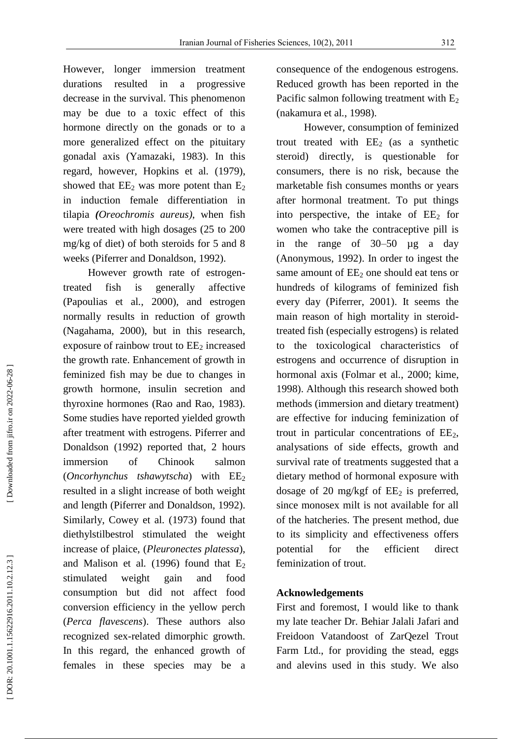However, longer immersion treatment durations resulted in a progressive decrease in the survival. This phenomenon may be due to a toxic effect of this hormone directly on the gonads or to a more generalized effect on the pituitary gonadal axis (Yamazaki, 1983). In this regard, however, Hopkins et al *.* (1979), showed that  $EE_2$  was more potent than  $E_2$ in induction female differentiation in tilapia *(Oreochromis aureus )*, when fish were treated with high dosages (25 to 200 mg/kg of diet) of both steroids for 5 and 8 weeks (Piferrer and Donaldson, 1992).

However growth rate of estrogen treated fish is generally affective (Papoulias et al *.*, 2000), and estrogen normally results in reduction of growth (Nagahama, 2000), but in this research, exposure of rainbow trout to EE <sup>2</sup> increased the growth rate. Enhancement of growth in feminized fish may be due to changes in growth hormone, insulin secretion and thyroxine hormones (Rao and Rao, 1983). Some studies have reported yielded growth after treatment with estrogens. Piferrer and Donaldson (1992) reported that, 2 hours immersion of Chinook salmon<br>(*Oncorhynchus tshawytscha*) with EE<sub>2</sub> resulted in a slight increase of both weight and length (Piferrer and Donaldson, 1992). Similarly, Cowey et al *.* (1973) found that diethylstilbestrol stimulated the weight increase of plaice, (*Pleuronectes platessa*), and Malison et al.  $(1996)$  found that  $E_2$ stimulated weight gain and food consumption but did not affect food conversion efficiency in the yellow perch (*Perca flavescens*). These authors also recognized sex -related dimorphic growth. In this regard, the enhanced growth of females in these species may be a

consequence of the endogenous estrogens. Reduced growth has been reported in the Pacific salmon following treatment with E<sub>2</sub> (nakamura et al *.*, 1998).

However, consumption of feminized trout treated with  $EE<sub>2</sub>$  (as a synthetic steroid) directly, is questionable for consumers, there is no risk, because the marketable fish consumes months or years after hormonal treatment. To put things into perspective, the intake of EE <sup>2</sup> for women who take the contraceptive pill is in the range of 30 –50 µg a day (Anonymous, 1992). In order to ingest the same amount of EE <sup>2</sup> one should eat tens or hundreds of kilograms of feminized fish every day (Piferrer, 2001). It seems the main reason of high mortality in steroid treated fish (especially estrogens) is related to the toxicological characteristics of estrogens and occurrence of disruption in hormonal axis (Folmar et al *.*, 2000; kime, 1998). Although this research showed both methods (immersion and dietary treatment) are effective for inducing feminization of trout in particular concentrations of EE 2, analysations of side effects, growth and survival rate of treatments suggested that a dietary method of hormonal exposure with dosage of 20 mg/kgf of EE <sup>2</sup> is preferred, since monosex milt is not available for all of the hatcheries. The present method, due to its simplicity and effectiveness offers potential for the efficient direct feminization of trout.

# **Acknowledgements**

First and foremost, I would like to thank my late teacher Dr. Behiar Jalali Jafari and Freidoon Vatandoost of ZarQezel Trout Farm Ltd., for providing the stead, eggs and alevins used in this study. We also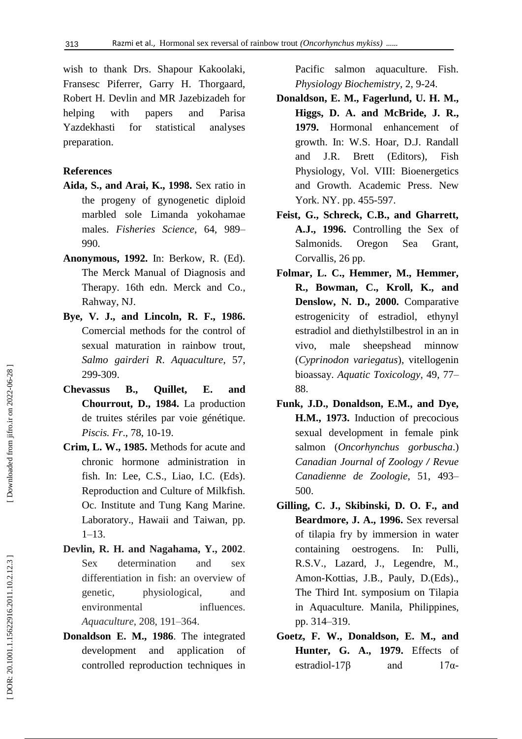wish to thank Drs. Shapour Kakoolaki, Fransesc Piferrer, Garry H. Thorgaard, Robert H. Devlin and MR Jazebizadeh for helping with papers and Parisa Yazdekhasti for statistical analyses preparation.

# **References**

- **Aida, S., and Arai, K., 1998.** Sex ratio in the progeny of gynogenetic diploid marbled sole Limanda yokohamae males. *Fisheries Science* , 64, 989 – 990.
- **Anonymous, 1992.** In: Berkow, R. (Ed). The Merck Manual of Diagnosis and Therapy. 16th edn. Merck and Co., Rahway, NJ.
- **Bye , V. J., and Lincoln, R. F., 1986.** Comercial methods for the control of sexual maturation in rainbow trout, *Salmo gairderi R*. *Aquaculture*, 57, 299 -309.
- **Chevassus B., Quillet, E. and Chourrout , D., 1984.** La production de truites stériles par voie génétique. *Piscis. Fr*., 78, 10 -19.
- **Crim, L. W., 1985.** Methods for acute and chronic hormone administration in fish. In: Lee, C.S., Liao, I.C. (Eds). Reproduction and Culture of Milkfish. Oc. Institute and Tung Kang Marine. Laboratory., Hawaii and Taiwan, pp. 1–13.
- **Devlin, R. H. and Nagahama, Y., 2002**. Sex determination and sex differentiation in fish: an overview of genetic, physiological, and environmental influences. *Aquaculture* , 208, 191 –364.
- **Donaldson E. M., 1986**. The integrated development and application of controlled reproduction techniques in

Pacific salmon aquaculture. Fish. *Physiology Biochemistry*, 2, 9 -24.

- **Donaldson, E. M., Fagerlund, U. H. M., Higgs, D. A. and McBride, J. R., 1979.** Hormonal enhancement of growth. In: W.S. Hoar, D.J. Randall and J.R. Brett (Editors), Fish Physiology, Vol. VIII: Bioenergetics and Growth. Academic Press. New York. NY. pp. 455-597.
- **Feist, G., Schreck, C.B., and Gharrett, A.J., 1996.** Controlling the Sex of Salmonids. Oregon Sea Grant, Corvallis, 26 pp.
- **Folmar, L. C., Hemmer, M., Hemmer, R., Bowman, C., Kroll, K., and Denslow, N. D., 2000.** Comparative estrogenicity of estradiol, ethynyl estradiol and diethylstilbestrol in an in vivo, male sheepshead minnow (*Cyprinodon variegatus*), vitellogenin bioassay. *Aquatic Toxicology*, 49, 77 – 88.
- **Funk, J.D., Donaldson, E.M., and Dye, H.M., 1973.** Induction of precocious sexual development in female pink salmon (*Oncorhynchus gorbuscha*.) *Canadian Journal of Zoology / Revue Canadienne de Zoologie* , 51, 493 – 500.
- **Gilling, C. J., Skibinski, D. O. F., and Beardmore, J. A., 1996.** Sex reversal of tilapia fry by immersion in water containing oestrogens. In: Pulli, R.S.V., Lazard, J., Legendre, M., Amon -Kottias, J.B., Pauly, D.(Eds)., The Third Int. symposium on Tilapia in Aquaculture. Manila, Philippines, pp. 314 –319.
- **Goetz, F. W., Donaldson, E. M., and Hunter, G. A., 1979.** Effects of estradiol-17β and 17α  $17\alpha$ -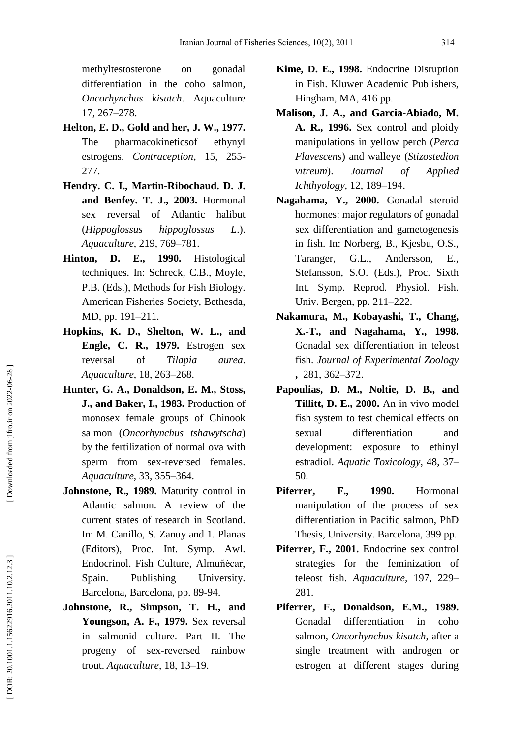methyltestosterone on gonadal differentiation in the coho salmon, *Oncorhynchus kisutch*. Aquaculture 17, 267 –278.

- **Helton, E. D. , Gold and her, J. W., 1977.** The pharmacokineticsof ethynyl estrogens. Contraception, 15, 255-277.
- **Hendry. C. I., Martin -Ribochaud. D. J. and Benfey. T. J., 2003.** Hormonal sex reversal of Atlantic halibut (*Hippoglossus hippoglossus L*.). *Aquaculture* , 219 , 769 –781.
- **Hinton, D. E., 1990.** Histological techniques. In: Schreck, C.B., Moyle, P.B. (Eds.), Methods for Fish Biology. American Fisheries Society, Bethesda, MD, pp. 191 –211.
- **Hopkins, K. D., Shelton, W. L., and Engle, C. R., 1979.** Estrogen sex reversal of *Tilapia aurea*. *Aquaculture* , 18, 263 –268.
- **Hunter, G. A., Donaldson, E. M., Stoss, J., and Baker, I., 1983.** Production of monosex female groups of Chinook salmon (*Oncorhynchus tshawytscha*) by the fertilization of normal ova with sperm from sex -reversed females. *Aquaculture* , 33, 355 –364.
- **Johnstone, R., 1989.** Maturity control in Atlantic salmon. A review of the current states of research in Scotland. In: M. Canillo, S. Zanuy and 1. Planas (Editors), Proc. Int. Symp. Awl. Endocrinol. Fish Culture, Almuňėcar, Spain. Publishing University. Barcelona, Barcelona, pp. 89 -94.
- **Johnstone, R., Simpson, T. H., and Youngson, A. F., 1979.** Sex reversal in salmonid culture. Part II. The progeny of sex -reversed rainbow trout. *Aquaculture*, 18, 13 –19.
- **Kime, D. E., 1998.** Endocrine Disruption in Fish. Kluwer Academic Publishers, Hingham, MA, 416 pp.
- **Malison, J. A., and Garcia -Abiado, M. A. R., 1996.** Sex control and ploidy manipulations in yellow perch (*Perca Flavescens*) and walleye (*Stizostedion vitreum*). *[Journal of Applied](http://www.google.com/url?sa=t&source=web&cd=1&ved=0CB4QFjAA&url=http%3A%2F%2Fwww.blackwellpublishing.com%2FJAI&ei=nIjYTfn8LsmxhAfeipHFBg&usg=AFQjCNFC86FgL6SPf0f7NGbYZZZLw6rpdw&sig2=2r6JiJGjO9Gradvv9_ctjw) [Ichthyology](http://www.google.com/url?sa=t&source=web&cd=1&ved=0CB4QFjAA&url=http%3A%2F%2Fwww.blackwellpublishing.com%2FJAI&ei=nIjYTfn8LsmxhAfeipHFBg&usg=AFQjCNFC86FgL6SPf0f7NGbYZZZLw6rpdw&sig2=2r6JiJGjO9Gradvv9_ctjw) ,* 12, 189 –194.
- **Nagahama, Y., 2000.** Gonadal steroid hormones: major regulators of gonadal sex differentiation and gametogenesis in fish. In: Norberg, B., Kjesbu, O.S., Taranger, G.L., Andersson, E., Stefansson, S.O. (Eds.), Proc. Sixth Int. Symp. Reprod. Physiol. Fish. Univ. Bergen, pp. 211 –222.
- **Nakamura, M., Kobayashi, T., Chang, X. -T., and Nagahama, Y., 1998.** Gonadal sex differentiation in teleost fish. *[Journal of Experimental Zoology](http://www.google.com/url?sa=t&source=web&cd=1&sqi=2&ved=0CB8QFjAA&url=http%3A%2F%2Fonlinelibrary.wiley.com%2Fjournal%2F10.1002%2F\(ISSN\)1932-5231&ei=KYnYTcz7FY6xhAfe4ZS-Bg&usg=AFQjCNE4AgUx4iVL_05FBPocyG-dQoZ_Hg&sig2=Q5VDCbNy29Xtc-XM_WEhvQ)* **,** 281, 362 –372.
- **Papoulias, D. M., Noltie, D. B., and Tillitt, D. E., 2000.** An in vivo model fish system to test chemical effects on sexual differentiation and development: exposure to ethinyl estradiol. *Aquatic Toxicology* , 48, 37 – 50.
- **Piferrer, F., 1990.** Hormonal manipulation of the process of sex differentiation in Pacific salmon, PhD Thesis, University. Barcelona, 399 pp.
- **Piferrer, F., 2001.** Endocrine sex control strategies for the feminization of teleost fish. Aquaculture, 197, 229-281.
- **Piferrer, F., Donaldson, E.M., 1989.** Gonadal differentiation in coho salmon, *Oncorhynchus kisutch*, after a single treatment with androgen or estrogen at different stages during